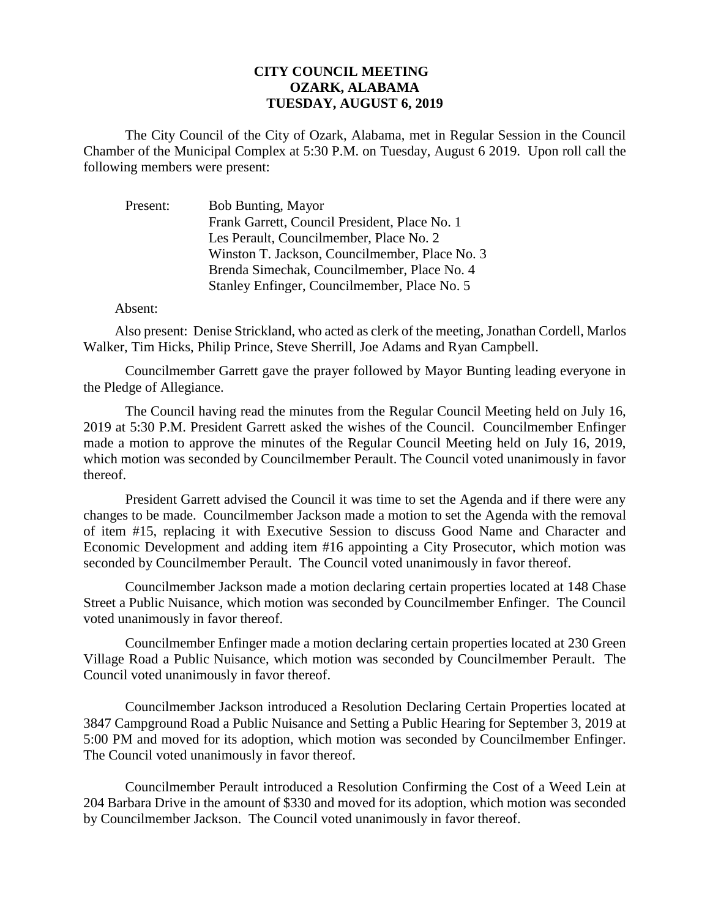## **CITY COUNCIL MEETING OZARK, ALABAMA TUESDAY, AUGUST 6, 2019**

The City Council of the City of Ozark, Alabama, met in Regular Session in the Council Chamber of the Municipal Complex at 5:30 P.M. on Tuesday, August 6 2019. Upon roll call the following members were present:

| Present: | Bob Bunting, Mayor                             |
|----------|------------------------------------------------|
|          | Frank Garrett, Council President, Place No. 1  |
|          | Les Perault, Councilmember, Place No. 2        |
|          | Winston T. Jackson, Councilmember, Place No. 3 |
|          | Brenda Simechak, Councilmember, Place No. 4    |
|          | Stanley Enfinger, Councilmember, Place No. 5   |

## Absent:

Also present: Denise Strickland, who acted as clerk of the meeting, Jonathan Cordell, Marlos Walker, Tim Hicks, Philip Prince, Steve Sherrill, Joe Adams and Ryan Campbell.

Councilmember Garrett gave the prayer followed by Mayor Bunting leading everyone in the Pledge of Allegiance.

The Council having read the minutes from the Regular Council Meeting held on July 16, 2019 at 5:30 P.M. President Garrett asked the wishes of the Council. Councilmember Enfinger made a motion to approve the minutes of the Regular Council Meeting held on July 16, 2019, which motion was seconded by Councilmember Perault. The Council voted unanimously in favor thereof.

President Garrett advised the Council it was time to set the Agenda and if there were any changes to be made. Councilmember Jackson made a motion to set the Agenda with the removal of item #15, replacing it with Executive Session to discuss Good Name and Character and Economic Development and adding item #16 appointing a City Prosecutor, which motion was seconded by Councilmember Perault. The Council voted unanimously in favor thereof.

Councilmember Jackson made a motion declaring certain properties located at 148 Chase Street a Public Nuisance, which motion was seconded by Councilmember Enfinger. The Council voted unanimously in favor thereof.

Councilmember Enfinger made a motion declaring certain properties located at 230 Green Village Road a Public Nuisance, which motion was seconded by Councilmember Perault. The Council voted unanimously in favor thereof.

Councilmember Jackson introduced a Resolution Declaring Certain Properties located at 3847 Campground Road a Public Nuisance and Setting a Public Hearing for September 3, 2019 at 5:00 PM and moved for its adoption, which motion was seconded by Councilmember Enfinger. The Council voted unanimously in favor thereof.

Councilmember Perault introduced a Resolution Confirming the Cost of a Weed Lein at 204 Barbara Drive in the amount of \$330 and moved for its adoption, which motion was seconded by Councilmember Jackson. The Council voted unanimously in favor thereof.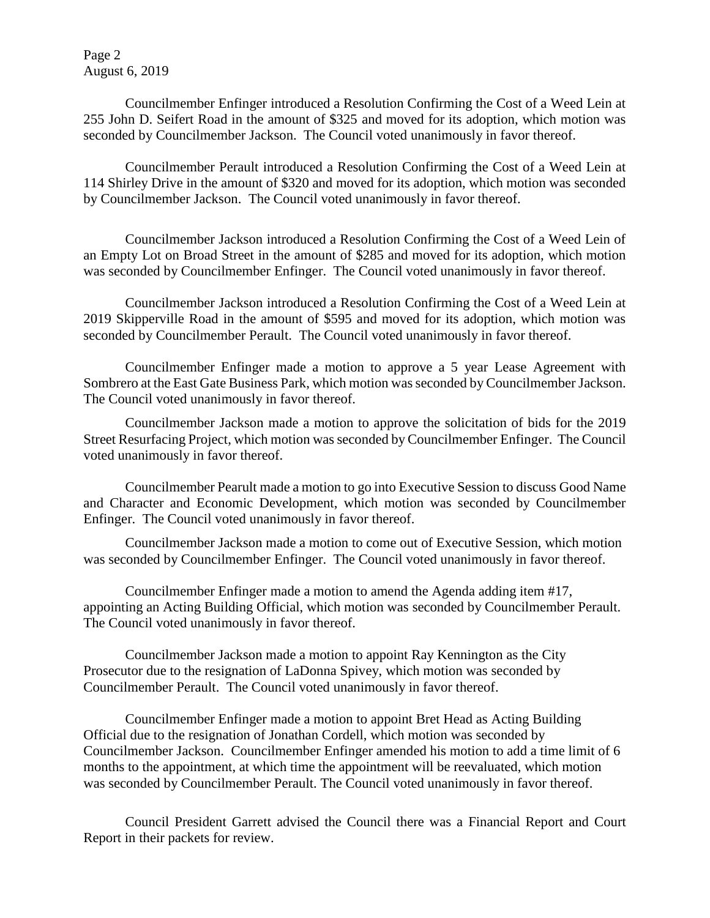Page 2 August 6, 2019

Councilmember Enfinger introduced a Resolution Confirming the Cost of a Weed Lein at 255 John D. Seifert Road in the amount of \$325 and moved for its adoption, which motion was seconded by Councilmember Jackson. The Council voted unanimously in favor thereof.

Councilmember Perault introduced a Resolution Confirming the Cost of a Weed Lein at 114 Shirley Drive in the amount of \$320 and moved for its adoption, which motion was seconded by Councilmember Jackson. The Council voted unanimously in favor thereof.

Councilmember Jackson introduced a Resolution Confirming the Cost of a Weed Lein of an Empty Lot on Broad Street in the amount of \$285 and moved for its adoption, which motion was seconded by Councilmember Enfinger. The Council voted unanimously in favor thereof.

Councilmember Jackson introduced a Resolution Confirming the Cost of a Weed Lein at 2019 Skipperville Road in the amount of \$595 and moved for its adoption, which motion was seconded by Councilmember Perault. The Council voted unanimously in favor thereof.

Councilmember Enfinger made a motion to approve a 5 year Lease Agreement with Sombrero at the East Gate Business Park, which motion was seconded by Councilmember Jackson. The Council voted unanimously in favor thereof.

Councilmember Jackson made a motion to approve the solicitation of bids for the 2019 Street Resurfacing Project, which motion was seconded by Councilmember Enfinger. The Council voted unanimously in favor thereof.

Councilmember Pearult made a motion to go into Executive Session to discuss Good Name and Character and Economic Development, which motion was seconded by Councilmember Enfinger. The Council voted unanimously in favor thereof.

Councilmember Jackson made a motion to come out of Executive Session, which motion was seconded by Councilmember Enfinger. The Council voted unanimously in favor thereof.

Councilmember Enfinger made a motion to amend the Agenda adding item #17, appointing an Acting Building Official, which motion was seconded by Councilmember Perault. The Council voted unanimously in favor thereof.

Councilmember Jackson made a motion to appoint Ray Kennington as the City Prosecutor due to the resignation of LaDonna Spivey, which motion was seconded by Councilmember Perault. The Council voted unanimously in favor thereof.

Councilmember Enfinger made a motion to appoint Bret Head as Acting Building Official due to the resignation of Jonathan Cordell, which motion was seconded by Councilmember Jackson. Councilmember Enfinger amended his motion to add a time limit of 6 months to the appointment, at which time the appointment will be reevaluated, which motion was seconded by Councilmember Perault. The Council voted unanimously in favor thereof.

Council President Garrett advised the Council there was a Financial Report and Court Report in their packets for review.